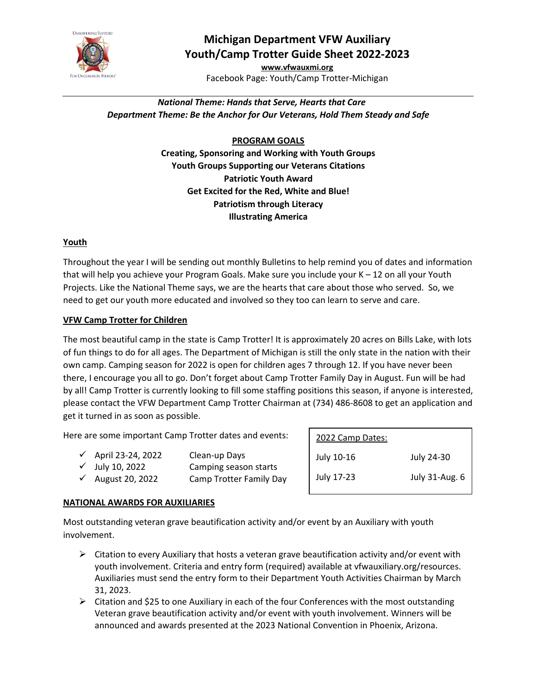

# **Michigan Department VFW Auxiliary Youth/Camp Trotter Guide Sheet 2022-2023**

**[www.vfwauxmi.org](http://www.vfwauxmi.org/)** Facebook Page: Youth/Camp Trotter-Michigan

# *National Theme: Hands that Serve, Hearts that Care Department Theme: Be the Anchor for Our Veterans, Hold Them Steady and Safe*

## **PROGRAM GOALS**

**Creating, Sponsoring and Working with Youth Groups Youth Groups Supporting our Veterans Citations Patriotic Youth Award Get Excited for the Red, White and Blue! Patriotism through Literacy Illustrating America**

#### **Youth**

Throughout the year I will be sending out monthly Bulletins to help remind you of dates and information that will help you achieve your Program Goals. Make sure you include your K – 12 on all your Youth Projects. Like the National Theme says, we are the hearts that care about those who served. So, we need to get our youth more educated and involved so they too can learn to serve and care.

## **VFW Camp Trotter for Children**

The most beautiful camp in the state is Camp Trotter! It is approximately 20 acres on Bills Lake, with lots of fun things to do for all ages. The Department of Michigan is still the only state in the nation with their own camp. Camping season for 2022 is open for children ages 7 through 12. If you have never been there, I encourage you all to go. Don't forget about Camp Trotter Family Day in August. Fun will be had by all! Camp Trotter is currently looking to fill some staffing positions this season, if anyone is interested, please contact the VFW Department Camp Trotter Chairman at (734) 486-8608 to get an application and get it turned in as soon as possible.

Here are some important Camp Trotter dates and events:

| $\checkmark$ April 23-24, 2022 | Clean-up Days         |
|--------------------------------|-----------------------|
| $\checkmark$ July 10, 2022     | Camping season starts |

- $\checkmark$  August 20, 2022 Camp Trotter Family Day
	-

| 2022 Camp Dates: |                |
|------------------|----------------|
| July 10-16       | July 24-30     |
| July 17-23       | July 31-Aug. 6 |
|                  |                |

#### **NATIONAL AWARDS FOR AUXILIARIES**

Most outstanding veteran grave beautification activity and/or event by an Auxiliary with youth involvement.

- $\triangleright$  Citation to every Auxiliary that hosts a veteran grave beautification activity and/or event with youth involvement. Criteria and entry form (required) available at vfwauxiliary.org/resources. Auxiliaries must send the entry form to their Department Youth Activities Chairman by March 31, 2023.
- $\triangleright$  Citation and \$25 to one Auxiliary in each of the four Conferences with the most outstanding Veteran grave beautification activity and/or event with youth involvement. Winners will be announced and awards presented at the 2023 National Convention in Phoenix, Arizona.